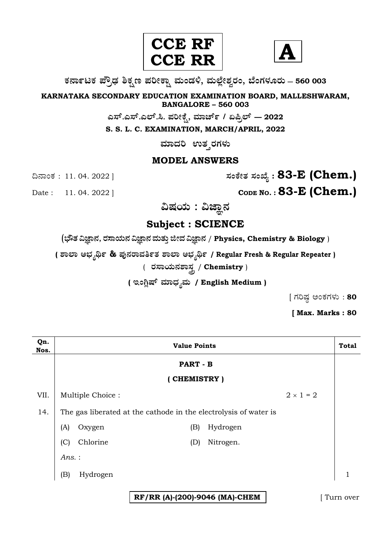



**O⁄´¤%lO⁄ ÆË√v⁄ ÃO⁄–y Æ⁄¬fiO¤– »⁄flMs⁄ÿ, »⁄fl≈Ê«fiÀ⁄ ¡⁄M, ∑ÊMV⁄◊⁄‡¡⁄fl — 560 003** 

**KARNATAKA SECONDARY EDUCATION EXAMINATION BOARD, MALLESHWARAM, BANGALORE – 560 003** 

 $\sigma$ ಎಸ್.ಎಲ್.ಸಿ. ಪರೀಕ್ಷೆ, ಮಾರ್ಚ್ / ಏಪ್ರಿಲ್ — 2022

**S. S. L. C. EXAMINATION, MARCH/APRIL, 2022** 

 $\overline{a}$ ಸಾದರಿ ಉತ್ತರಗಳು

### **MODEL ANSWERS**

¶´¤MO⁄ : 11. 04. 2022 ] **—⁄MOÊfi}⁄ —⁄MSÊ¿ : 83-E (Chem.)**

Date : 11. 04. 2022 ] **CODE NO. : 83-E (Chem.)** 

ವಿಷಯ : ವಿಜ್ಞಾನ

**Subject : SCIENCE** 

(**»èñÜ ËþÝ®Ü, ÃÜÓÝ¿á®Ü ËþÝ®Ü ÊÜáñÜᤠiàÊÜ ËþÝ®Ü** / **Physics, Chemistry & Biology** )

**( À¤≈¤ @∫⁄¥¿£% & Æ⁄'¥´⁄¡¤»⁄~%}⁄ À¤≈¤ @∫⁄¥¿£% / Regular Fresh & Regular Repeater )**

 $($  ರಸಾಯನಶಾಸ್ತ್ರ / Chemistry )

( ಇಂಗ್ಲಿಷ್ ಮಾಧ್ಯಮ / English Medium )

 $[$  ಗರಿಷ್ಣ ಅಂಕಗಳು: 80

**[ Max. Marks : 80** 

| Qn.<br>Nos. | <b>Value Points</b>                                              |          |                                |           | <b>Total</b> |              |
|-------------|------------------------------------------------------------------|----------|--------------------------------|-----------|--------------|--------------|
|             | <b>PART - B</b>                                                  |          |                                |           |              |              |
|             | (CHEMISTRY)                                                      |          |                                |           |              |              |
| VII.        | $2 \times 1 = 2$<br>Multiple Choice:                             |          |                                |           |              |              |
| 14.         | The gas liberated at the cathode in the electrolysis of water is |          |                                |           |              |              |
|             | (A)                                                              | Oxygen   | (B)                            | Hydrogen  |              |              |
|             | (C)                                                              | Chlorine | (D)                            | Nitrogen. |              |              |
|             | Ans.:                                                            |          |                                |           |              |              |
|             | (B)                                                              | Hydrogen |                                |           |              | $\mathbf{1}$ |
|             |                                                                  |          | RF/RR (A)-(200)-9046 (MA)-CHEM |           |              | Turn over    |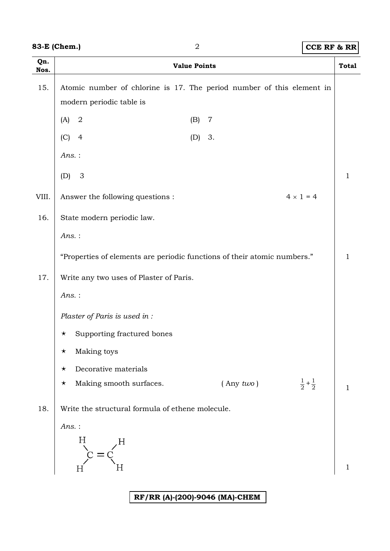|  | 83-E (Chem.) |
|--|--------------|
|--|--------------|

# **83-B (CCE RF & RR**)

| Qn.<br>Nos. | <b>Value Points</b>                                                                               | <b>Total</b> |  |  |  |  |
|-------------|---------------------------------------------------------------------------------------------------|--------------|--|--|--|--|
| 15.         | Atomic number of chlorine is 17. The period number of this element in<br>modern periodic table is |              |  |  |  |  |
|             | $\sqrt{2}$<br>(A)<br>(B)<br>$\overline{7}$                                                        |              |  |  |  |  |
|             | (C)<br>$\overline{4}$<br>(D) 3.                                                                   |              |  |  |  |  |
|             | $Ans.$ :                                                                                          |              |  |  |  |  |
|             | 3<br>(D)                                                                                          | 1            |  |  |  |  |
| VIII.       | $4 \times 1 = 4$<br>Answer the following questions :                                              |              |  |  |  |  |
| 16.         | State modern periodic law.                                                                        |              |  |  |  |  |
|             | Ans.:                                                                                             |              |  |  |  |  |
|             | "Properties of elements are periodic functions of their atomic numbers."                          | 1            |  |  |  |  |
| 17.         | Write any two uses of Plaster of Paris.                                                           |              |  |  |  |  |
|             | Ans.:                                                                                             |              |  |  |  |  |
|             | Plaster of Paris is used in :                                                                     |              |  |  |  |  |
|             | Supporting fractured bones<br>$\star$                                                             |              |  |  |  |  |
|             | Making toys<br>$\star$                                                                            |              |  |  |  |  |
|             | Decorative materials<br>$\star$                                                                   |              |  |  |  |  |
|             | $rac{1}{2} + \frac{1}{2}$<br>Making smooth surfaces.<br>$($ Any $two)$<br>$\star$                 | 1            |  |  |  |  |
| 18.         | Write the structural formula of ethene molecule.                                                  |              |  |  |  |  |
|             | Ans.:                                                                                             |              |  |  |  |  |
|             | H                                                                                                 |              |  |  |  |  |
|             | Η                                                                                                 | 1            |  |  |  |  |
|             |                                                                                                   |              |  |  |  |  |

## **RF/RR (A)-(200)-9046 (MA)-CHEM**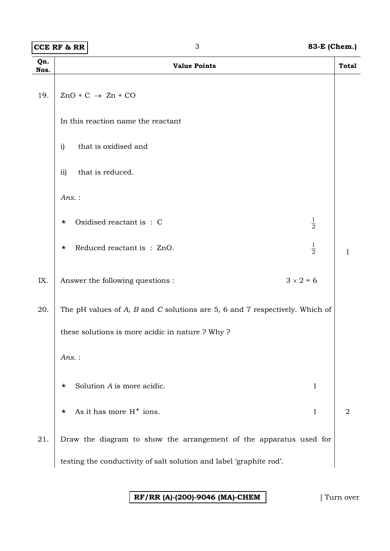**CCE RF & RR** 3 **83-E (Chem.)** 

| Qn.<br>Nos. | <b>Value Points</b>                                                                | <b>Total</b>   |
|-------------|------------------------------------------------------------------------------------|----------------|
| 19.         | $ZnO + C \rightarrow Zn + CO$                                                      |                |
|             | In this reaction name the reactant                                                 |                |
|             | that is oxidised and<br>i)                                                         |                |
|             | that is reduced.<br>$\overline{11}$                                                |                |
|             | $Ans.$ :                                                                           |                |
|             | $\frac{1}{2}$<br>Oxidised reactant is: C<br>$\star$                                |                |
|             | $\frac{1}{2}$<br>Reduced reactant is: ZnO.<br>$\star$                              | 1              |
| IX.         | $3 \times 2 = 6$<br>Answer the following questions :                               |                |
| 20.         | The pH values of $A$ , $B$ and $C$ solutions are 5, 6 and 7 respectively. Which of |                |
|             | these solutions is more acidic in nature ? Why ?                                   |                |
|             | $Ans.$ :                                                                           |                |
|             | Solution A is more acidic.<br>$\mathbf{1}$<br>$\star$                              |                |
|             | As it has more $H^+$ ions.<br>$\mathbf{1}$<br>$\star$                              | $\overline{2}$ |
| 21.         | Draw the diagram to show the arrangement of the apparatus used for                 |                |
|             | testing the conductivity of salt solution and label 'graphite rod'.                |                |

**RF/RR (A)-(200)-9046 (MA)-CHEM** [ Turn over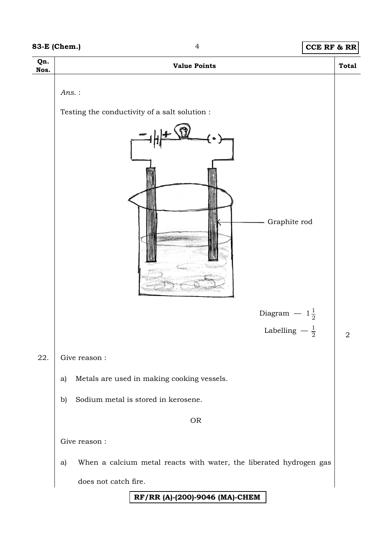## **83-E (Chem.)** 4 **CCE RF & RR**

| Qn.<br>Nos. | <b>Value Points</b>                                                       | <b>Total</b> |
|-------------|---------------------------------------------------------------------------|--------------|
|             | $Ans.$ :<br>Testing the conductivity of a salt solution :<br>Graphite rod |              |
|             | Diagram $-1\frac{1}{2}$                                                   |              |
|             | Labelling $-\frac{1}{2}$                                                  | $\sqrt{2}$   |
| 22.         | Give reason :                                                             |              |
|             | Metals are used in making cooking vessels.<br>a)                          |              |
|             | Sodium metal is stored in kerosene.<br>$\mathbf{b}$                       |              |
|             | <b>OR</b>                                                                 |              |
|             | Give reason :                                                             |              |
|             | When a calcium metal reacts with water, the liberated hydrogen gas<br>a)  |              |
|             | does not catch fire.                                                      |              |
|             | RF/RR (A)-(200)-9046 (MA)-CHEM                                            |              |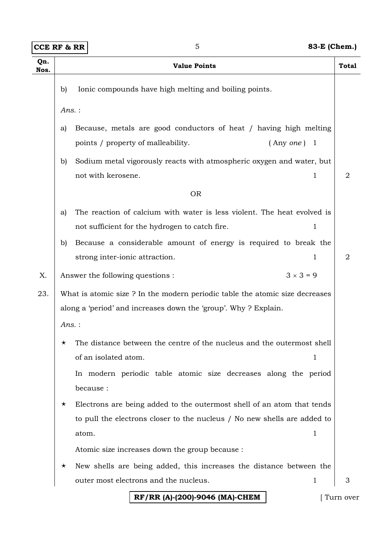| Qn.<br>Nos. | <b>Value Points</b>                                                               |                                                                             |           |  |  |  |
|-------------|-----------------------------------------------------------------------------------|-----------------------------------------------------------------------------|-----------|--|--|--|
|             | b)                                                                                | Ionic compounds have high melting and boiling points.                       |           |  |  |  |
|             | $Ans.$ :                                                                          |                                                                             |           |  |  |  |
|             |                                                                                   |                                                                             |           |  |  |  |
|             | a)                                                                                | Because, metals are good conductors of heat / having high melting           |           |  |  |  |
|             |                                                                                   | points / property of malleability.<br>(Any one) 1                           |           |  |  |  |
|             | b)                                                                                | Sodium metal vigorously reacts with atmospheric oxygen and water, but       |           |  |  |  |
|             |                                                                                   | not with kerosene.<br>1                                                     | 2         |  |  |  |
|             |                                                                                   | <b>OR</b>                                                                   |           |  |  |  |
|             | a)                                                                                | The reaction of calcium with water is less violent. The heat evolved is     |           |  |  |  |
|             |                                                                                   | 1<br>not sufficient for the hydrogen to catch fire.                         |           |  |  |  |
|             | b)                                                                                | Because a considerable amount of energy is required to break the            |           |  |  |  |
|             |                                                                                   | strong inter-ionic attraction.<br>1                                         | 2         |  |  |  |
|             |                                                                                   |                                                                             |           |  |  |  |
| Χ.          |                                                                                   | $3 \times 3 = 9$<br>Answer the following questions :                        |           |  |  |  |
| 23.         |                                                                                   | What is atomic size? In the modern periodic table the atomic size decreases |           |  |  |  |
|             |                                                                                   | along a 'period' and increases down the 'group'. Why ? Explain.             |           |  |  |  |
|             |                                                                                   | Ans.:                                                                       |           |  |  |  |
|             | $\star$                                                                           | The distance between the centre of the nucleus and the outermost shell      |           |  |  |  |
|             |                                                                                   | of an isolated atom.<br>1                                                   |           |  |  |  |
|             |                                                                                   | In modern periodic table atomic size decreases along the period             |           |  |  |  |
|             | because :                                                                         |                                                                             |           |  |  |  |
|             | Electrons are being added to the outermost shell of an atom that tends<br>$\star$ |                                                                             |           |  |  |  |
|             | to pull the electrons closer to the nucleus / No new shells are added to          |                                                                             |           |  |  |  |
|             |                                                                                   | atom.<br>1                                                                  |           |  |  |  |
|             |                                                                                   |                                                                             |           |  |  |  |
|             | Atomic size increases down the group because :                                    |                                                                             |           |  |  |  |
|             | New shells are being added, this increases the distance between the<br>$\star$    |                                                                             |           |  |  |  |
|             |                                                                                   | outer most electrons and the nucleus.<br>1                                  | 3         |  |  |  |
|             |                                                                                   | RF/RR (A)-(200)-9046 (MA)-CHEM                                              | Turn over |  |  |  |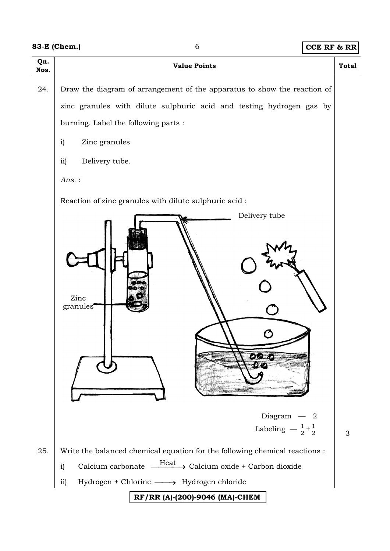|  | 83-E (Chem.) |
|--|--------------|
|--|--------------|

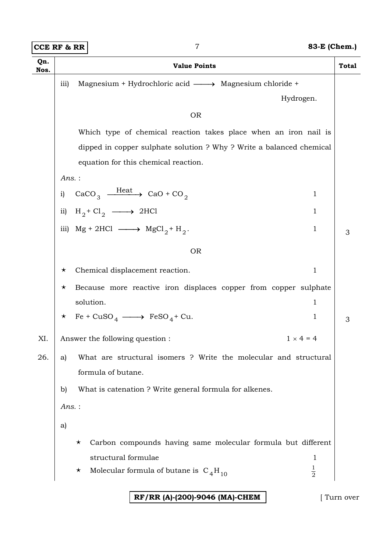**CCE RF & RR** 7 **83-E (Chem.)** 

| Qn.<br>Nos. |                                                               | <b>Value Points</b>                                                                           | <b>Total</b> |  |
|-------------|---------------------------------------------------------------|-----------------------------------------------------------------------------------------------|--------------|--|
|             | Magnesium + Hydrochloric acid -> Magnesium chloride +<br>iii) |                                                                                               |              |  |
|             |                                                               | Hydrogen.                                                                                     |              |  |
|             |                                                               | <b>OR</b>                                                                                     |              |  |
|             |                                                               | Which type of chemical reaction takes place when an iron nail is                              |              |  |
|             |                                                               | dipped in copper sulphate solution ? Why ? Write a balanced chemical                          |              |  |
|             |                                                               | equation for this chemical reaction.                                                          |              |  |
|             | $Ans.$ :                                                      |                                                                                               |              |  |
|             | i)                                                            | CaCO <sub>3</sub> $\frac{\text{Heat}}{\text{400}}$ CaO + CO <sub>2</sub><br>$\mathbf{1}$      |              |  |
|             | $\overline{11}$                                               | $H_2$ + Cl <sub>2</sub> $\longrightarrow$ 2HCl<br>$\mathbf{1}$                                |              |  |
|             |                                                               | iii) $Mg + 2HCl \longrightarrow MgCl_2 + H_2$ .<br>$\mathbf{1}$                               | 3            |  |
|             |                                                               | <b>OR</b>                                                                                     |              |  |
|             |                                                               |                                                                                               |              |  |
|             | Chemical displacement reaction.<br>$\mathbf{1}$<br>$\star$    |                                                                                               |              |  |
|             | $\star$                                                       | Because more reactive iron displaces copper from copper sulphate<br>solution.<br>$\mathbf{1}$ |              |  |
|             |                                                               | $\star$ Fe + CuSO <sub>4</sub> $\longrightarrow$ FeSO <sub>4</sub> + Cu.<br>1                 | 3            |  |
|             |                                                               |                                                                                               |              |  |
| XI.         |                                                               | $1 \times 4 = 4$<br>Answer the following question :                                           |              |  |
| 26.         | a)                                                            | What are structural isomers ? Write the molecular and structural                              |              |  |
|             |                                                               | formula of butane.                                                                            |              |  |
|             | $\mathbf{b}$                                                  | What is catenation ? Write general formula for alkenes.                                       |              |  |
|             | $Ans.$ :                                                      |                                                                                               |              |  |
|             | a)                                                            |                                                                                               |              |  |
|             |                                                               | Carbon compounds having same molecular formula but different<br>$\star$                       |              |  |
|             |                                                               | structural formulae<br>1                                                                      |              |  |
|             |                                                               | $\frac{1}{2}$<br>Molecular formula of butane is $C_4H_{10}$<br>$\star$                        |              |  |
|             |                                                               |                                                                                               |              |  |

**RF/RR (A)-(200)-9046 (MA)-CHEM** [ Turn over